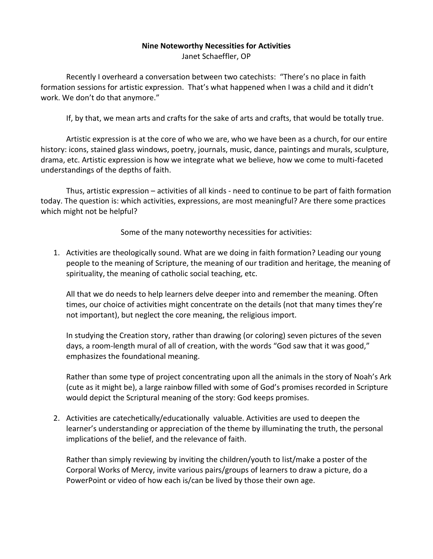## **Nine Noteworthy Necessities for Activities**

Janet Schaeffler, OP

Recently I overheard a conversation between two catechists: "There's no place in faith formation sessions for artistic expression. That's what happened when I was a child and it didn't work. We don't do that anymore."

If, by that, we mean arts and crafts for the sake of arts and crafts, that would be totally true.

Artistic expression is at the core of who we are, who we have been as a church, for our entire history: icons, stained glass windows, poetry, journals, music, dance, paintings and murals, sculpture, drama, etc. Artistic expression is how we integrate what we believe, how we come to multi-faceted understandings of the depths of faith.

Thus, artistic expression – activities of all kinds - need to continue to be part of faith formation today. The question is: which activities, expressions, are most meaningful? Are there some practices which might not be helpful?

Some of the many noteworthy necessities for activities:

1. Activities are theologically sound. What are we doing in faith formation? Leading our young people to the meaning of Scripture, the meaning of our tradition and heritage, the meaning of spirituality, the meaning of catholic social teaching, etc.

All that we do needs to help learners delve deeper into and remember the meaning. Often times, our choice of activities might concentrate on the details (not that many times they're not important), but neglect the core meaning, the religious import.

In studying the Creation story, rather than drawing (or coloring) seven pictures of the seven days, a room-length mural of all of creation, with the words "God saw that it was good," emphasizes the foundational meaning.

Rather than some type of project concentrating upon all the animals in the story of Noah's Ark (cute as it might be), a large rainbow filled with some of God's promises recorded in Scripture would depict the Scriptural meaning of the story: God keeps promises.

2. Activities are catechetically/educationally valuable. Activities are used to deepen the learner's understanding or appreciation of the theme by illuminating the truth, the personal implications of the belief, and the relevance of faith.

Rather than simply reviewing by inviting the children/youth to list/make a poster of the Corporal Works of Mercy, invite various pairs/groups of learners to draw a picture, do a PowerPoint or video of how each is/can be lived by those their own age.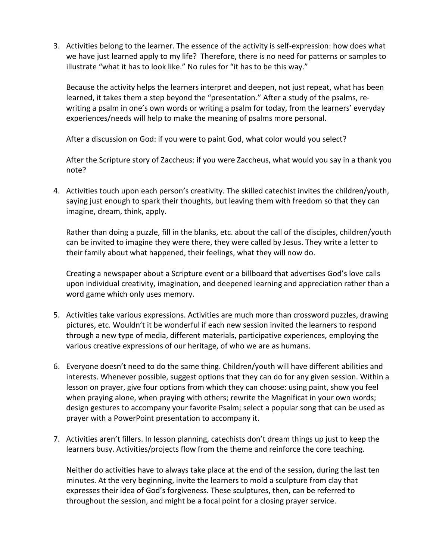3. Activities belong to the learner. The essence of the activity is self-expression: how does what we have just learned apply to my life? Therefore, there is no need for patterns or samples to illustrate "what it has to look like." No rules for "it has to be this way."

Because the activity helps the learners interpret and deepen, not just repeat, what has been learned, it takes them a step beyond the "presentation." After a study of the psalms, rewriting a psalm in one's own words or writing a psalm for today, from the learners' everyday experiences/needs will help to make the meaning of psalms more personal.

After a discussion on God: if you were to paint God, what color would you select?

After the Scripture story of Zaccheus: if you were Zaccheus, what would you say in a thank you note?

4. Activities touch upon each person's creativity. The skilled catechist invites the children/youth, saying just enough to spark their thoughts, but leaving them with freedom so that they can imagine, dream, think, apply.

Rather than doing a puzzle, fill in the blanks, etc. about the call of the disciples, children/youth can be invited to imagine they were there, they were called by Jesus. They write a letter to their family about what happened, their feelings, what they will now do.

Creating a newspaper about a Scripture event or a billboard that advertises God's love calls upon individual creativity, imagination, and deepened learning and appreciation rather than a word game which only uses memory.

- 5. Activities take various expressions. Activities are much more than crossword puzzles, drawing pictures, etc. Wouldn't it be wonderful if each new session invited the learners to respond through a new type of media, different materials, participative experiences, employing the various creative expressions of our heritage, of who we are as humans.
- 6. Everyone doesn't need to do the same thing. Children/youth will have different abilities and interests. Whenever possible, suggest options that they can do for any given session. Within a lesson on prayer, give four options from which they can choose: using paint, show you feel when praying alone, when praying with others; rewrite the Magnificat in your own words; design gestures to accompany your favorite Psalm; select a popular song that can be used as prayer with a PowerPoint presentation to accompany it.
- 7. Activities aren't fillers. In lesson planning, catechists don't dream things up just to keep the learners busy. Activities/projects flow from the theme and reinforce the core teaching.

Neither do activities have to always take place at the end of the session, during the last ten minutes. At the very beginning, invite the learners to mold a sculpture from clay that expresses their idea of God's forgiveness. These sculptures, then, can be referred to throughout the session, and might be a focal point for a closing prayer service.